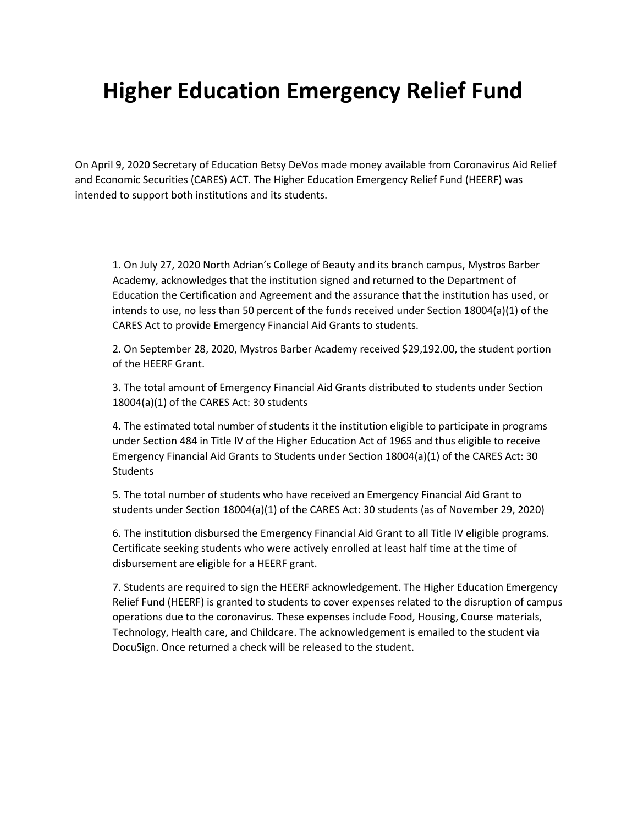## **Higher Education Emergency Relief Fund**

On April 9, 2020 Secretary of Education Betsy DeVos made money available from Coronavirus Aid Relief and Economic Securities (CARES) ACT. The Higher Education Emergency Relief Fund (HEERF) was intended to support both institutions and its students.

1. On July 27, 2020 North Adrian's College of Beauty and its branch campus, Mystros Barber Academy, acknowledges that the institution signed and returned to the Department of Education the Certification and Agreement and the assurance that the institution has used, or intends to use, no less than 50 percent of the funds received under Section 18004(a)(1) of the CARES Act to provide Emergency Financial Aid Grants to students.

2. On September 28, 2020, Mystros Barber Academy received \$29,192.00, the student portion of the HEERF Grant.

3. The total amount of Emergency Financial Aid Grants distributed to students under Section 18004(a)(1) of the CARES Act: 30 students

4. The estimated total number of students it the institution eligible to participate in programs under Section 484 in Title IV of the Higher Education Act of 1965 and thus eligible to receive Emergency Financial Aid Grants to Students under Section 18004(a)(1) of the CARES Act: 30 **Students** 

5. The total number of students who have received an Emergency Financial Aid Grant to students under Section 18004(a)(1) of the CARES Act: 30 students (as of November 29, 2020)

6. The institution disbursed the Emergency Financial Aid Grant to all Title IV eligible programs. Certificate seeking students who were actively enrolled at least half time at the time of disbursement are eligible for a HEERF grant.

7. Students are required to sign the HEERF acknowledgement. The Higher Education Emergency Relief Fund (HEERF) is granted to students to cover expenses related to the disruption of campus operations due to the coronavirus. These expenses include Food, Housing, Course materials, Technology, Health care, and Childcare. The acknowledgement is emailed to the student via DocuSign. Once returned a check will be released to the student.